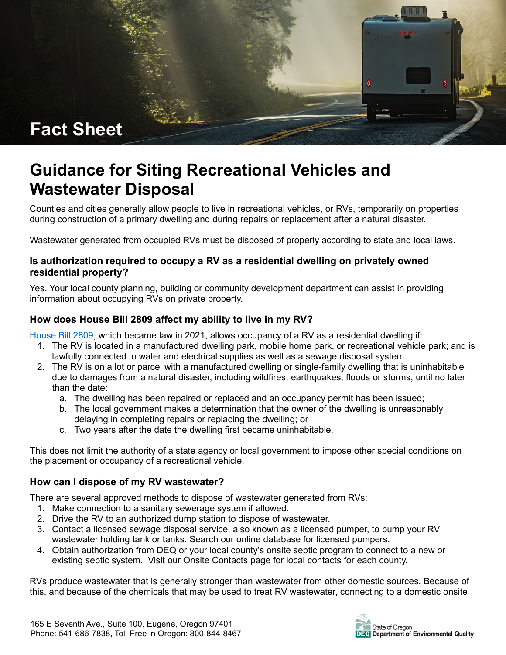

# **Guidance for Siting Recreational Vehicles and Wastewater Disposal**

Counties and cities generally allow people to live in recreational vehicles, or RVs, temporarily on properties during construction of a primary dwelling and during repairs or replacement after a natural disaster.

Wastewater generated from occupied RVs must be disposed of properly according to state and local laws.

#### **Is authorization required to occupy a RV as a residential dwelling on privately owned residential property?**

Yes. Your local county planning, building or community development department can assist in providing information about occupying RVs on private property.

## **How does House Bill 2809 affect my ability to live in my RV?**

[House Bill 2809,](https://olis.oregonlegislature.gov/liz/2021R1/Downloads/MeasureDocument/HB2809/Enrolled) which became law in 2021, allows occupancy of a RV as a residential dwelling if:

- 1. The RV is located in a manufactured dwelling park, mobile home park, or recreational vehicle park; and is lawfully connected to water and electrical supplies as well as a sewage disposal system.
- 2. The RV is on a lot or parcel with a manufactured dwelling or single-family dwelling that is uninhabitable due to damages from a natural disaster, including wildfires, earthquakes, floods or storms, until no later than the date:
	- a. The dwelling has been repaired or replaced and an occupancy permit has been issued;
	- b. The local government makes a determination that the owner of the dwelling is unreasonably delaying in completing repairs or replacing the dwelling; or
	- c. Two years after the date the dwelling first became uninhabitable.

This does not limit the authority of a state agency or local government to impose other special conditions on the placement or occupancy of a recreational vehicle.

### **How can I dispose of my RV wastewater?**

There are several approved methods to dispose of wastewater generated from RVs:

- 1. Make connection to a sanitary sewerage system if allowed.
- 2. Drive the RV to an authorized dump station to dispose of wastewater.
- 3. Contact a licensed sewage disposal service, also known as a licensed pumper, to pump your RV wastewater holding tank or tanks. Search our online database for licensed pumpers.
- 4. Obtain authorization from DEQ or your local county's onsite septic program to connect to a new or existing septic system. Visit our Onsite Contacts page for local contacts for each county.

RVs produce wastewater that is generally stronger than wastewater from other domestic sources. Because of this, and because of the chemicals that may be used to treat RV wastewater, connecting to a domestic onsite